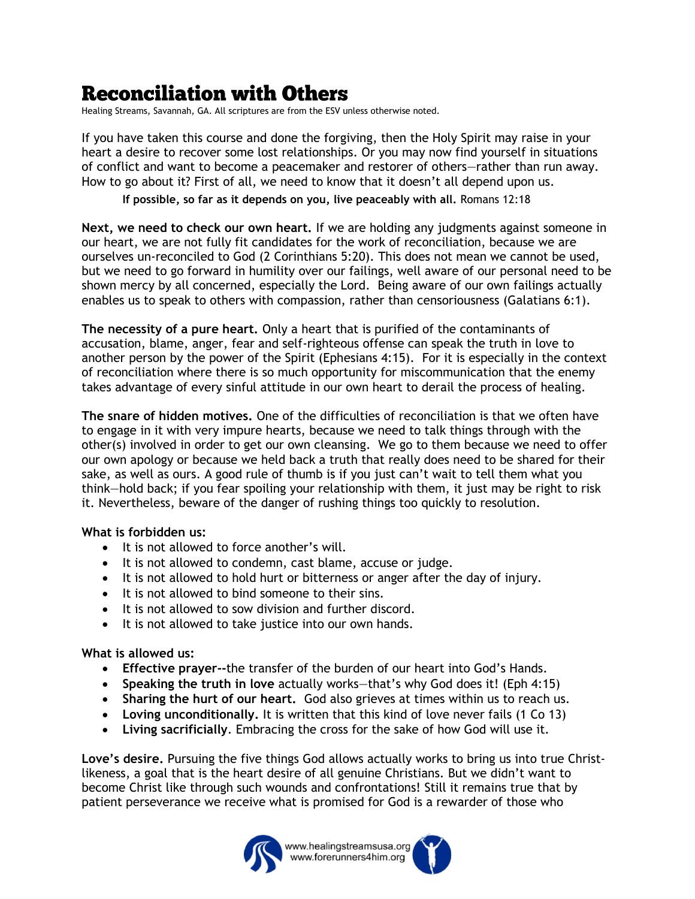## **Reconciliation with Others**

Healing Streams, Savannah, GA. All scriptures are from the ESV unless otherwise noted.

If you have taken this course and done the forgiving, then the Holy Spirit may raise in your heart a desire to recover some lost relationships. Or you may now find yourself in situations of conflict and want to become a peacemaker and restorer of others—rather than run away. How to go about it? First of all, we need to know that it doesn't all depend upon us.

**If possible, so far as it depends on you, live peaceably with all.** Romans 12:18

**Next, we need to check our own heart.** If we are holding any judgments against someone in our heart, we are not fully fit candidates for the work of reconciliation, because we are ourselves un-reconciled to God (2 Corinthians 5:20). This does not mean we cannot be used, but we need to go forward in humility over our failings, well aware of our personal need to be shown mercy by all concerned, especially the Lord. Being aware of our own failings actually enables us to speak to others with compassion, rather than censoriousness (Galatians 6:1).

**The necessity of a pure heart.** Only a heart that is purified of the contaminants of accusation, blame, anger, fear and self-righteous offense can speak the truth in love to another person by the power of the Spirit (Ephesians 4:15). For it is especially in the context of reconciliation where there is so much opportunity for miscommunication that the enemy takes advantage of every sinful attitude in our own heart to derail the process of healing.

**The snare of hidden motives.** One of the difficulties of reconciliation is that we often have to engage in it with very impure hearts, because we need to talk things through with the other(s) involved in order to get our own cleansing. We go to them because we need to offer our own apology or because we held back a truth that really does need to be shared for their sake, as well as ours. A good rule of thumb is if you just can't wait to tell them what you think—hold back; if you fear spoiling your relationship with them, it just may be right to risk it. Nevertheless, beware of the danger of rushing things too quickly to resolution.

## **What is forbidden us:**

- It is not allowed to force another's will.
- It is not allowed to condemn, cast blame, accuse or judge.
- It is not allowed to hold hurt or bitterness or anger after the day of injury.
- It is not allowed to bind someone to their sins.
- It is not allowed to sow division and further discord.
- It is not allowed to take justice into our own hands.

## **What is allowed us:**

- **Effective prayer--**the transfer of the burden of our heart into God's Hands.
- **Speaking the truth in love** actually works—that's why God does it! (Eph 4:15)
- **Sharing the hurt of our heart.** God also grieves at times within us to reach us.
- **Loving unconditionally.** It is written that this kind of love never fails (1 Co 13)
- **Living sacrificially**. Embracing the cross for the sake of how God will use it.

**Love's desire.** Pursuing the five things God allows actually works to bring us into true Christlikeness, a goal that is the heart desire of all genuine Christians. But we didn't want to become Christ like through such wounds and confrontations! Still it remains true that by patient perseverance we receive what is promised for God is a rewarder of those who